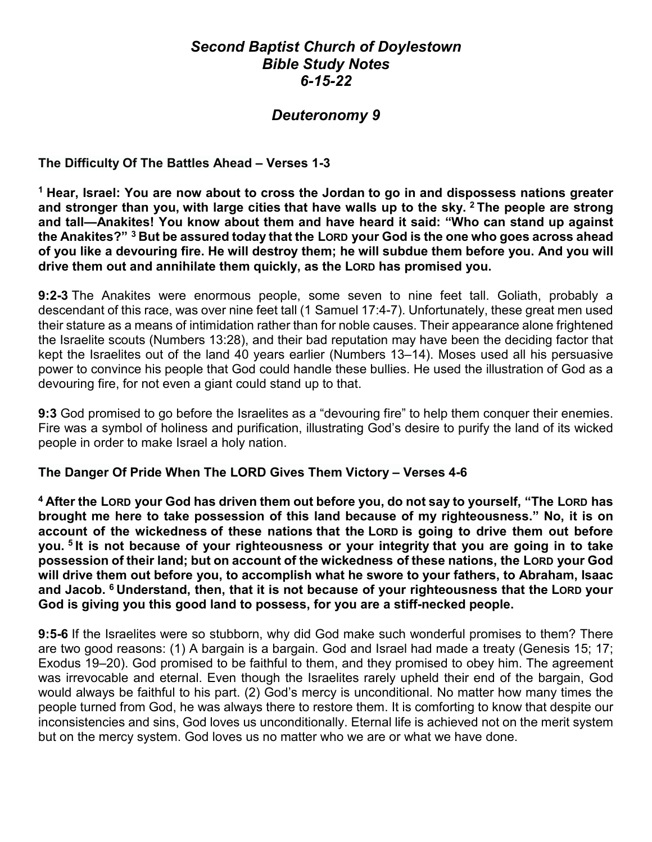# *Second Baptist Church of Doylestown Bible Study Notes 6-15-22*

# *Deuteronomy 9*

## **The Difficulty Of The Battles Ahead – Verses 1-3**

**<sup>1</sup> Hear, Israel: You are now about to cross the Jordan to go in and dispossess nations greater and stronger than you, with large cities that have walls up to the sky. <sup>2</sup> The people are strong and tall—Anakites! You know about them and have heard it said: "Who can stand up against the Anakites?" <sup>3</sup> But be assured today that the LORD your God is the one who goes across ahead of you like a devouring fire. He will destroy them; he will subdue them before you. And you will drive them out and annihilate them quickly, as the LORD has promised you.**

**9:2-3** The Anakites were enormous people, some seven to nine feet tall. Goliath, probably a descendant of this race, was over nine feet tall (1 Samuel 17:4-7). Unfortunately, these great men used their stature as a means of intimidation rather than for noble causes. Their appearance alone frightened the Israelite scouts (Numbers 13:28), and their bad reputation may have been the deciding factor that kept the Israelites out of the land 40 years earlier (Numbers 13–14). Moses used all his persuasive power to convince his people that God could handle these bullies. He used the illustration of God as a devouring fire, for not even a giant could stand up to that.

**9:3** God promised to go before the Israelites as a "devouring fire" to help them conquer their enemies. Fire was a symbol of holiness and purification, illustrating God's desire to purify the land of its wicked people in order to make Israel a holy nation.

## **The Danger Of Pride When The LORD Gives Them Victory – Verses 4-6**

**<sup>4</sup> After the LORD your God has driven them out before you, do not say to yourself, "The LORD has brought me here to take possession of this land because of my righteousness." No, it is on account of the wickedness of these nations that the LORD is going to drive them out before you. <sup>5</sup> It is not because of your righteousness or your integrity that you are going in to take possession of their land; but on account of the wickedness of these nations, the LORD your God will drive them out before you, to accomplish what he swore to your fathers, to Abraham, Isaac and Jacob. <sup>6</sup> Understand, then, that it is not because of your righteousness that the LORD your God is giving you this good land to possess, for you are a stiff-necked people.**

**9:5-6** If the Israelites were so stubborn, why did God make such wonderful promises to them? There are two good reasons: (1) A bargain is a bargain. God and Israel had made a treaty (Genesis 15; 17; Exodus 19–20). God promised to be faithful to them, and they promised to obey him. The agreement was irrevocable and eternal. Even though the Israelites rarely upheld their end of the bargain, God would always be faithful to his part. (2) God's mercy is unconditional. No matter how many times the people turned from God, he was always there to restore them. It is comforting to know that despite our inconsistencies and sins, God loves us unconditionally. Eternal life is achieved not on the merit system but on the mercy system. God loves us no matter who we are or what we have done.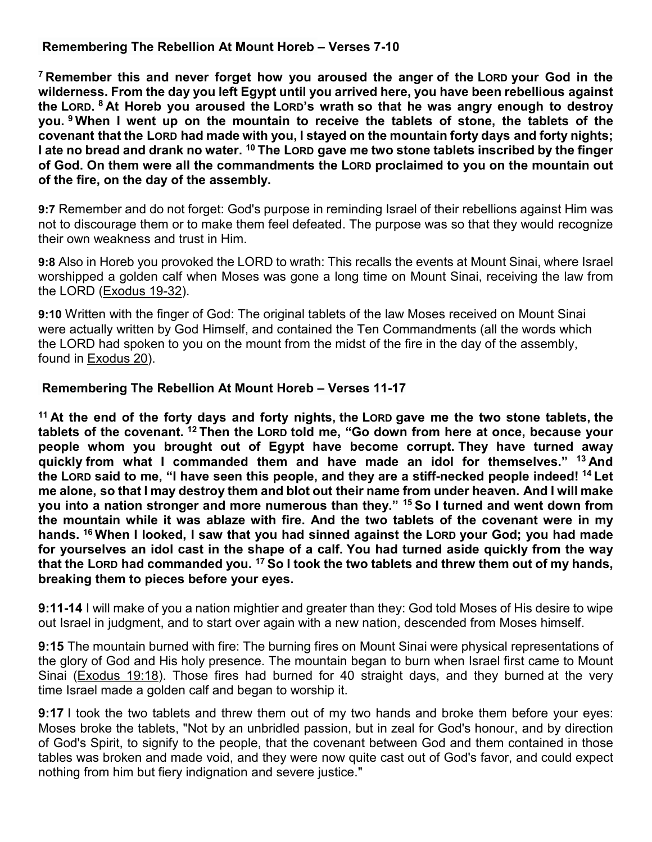## **Remembering The Rebellion At Mount Horeb – Verses 7-10**

**<sup>7</sup> Remember this and never forget how you aroused the anger of the LORD your God in the wilderness. From the day you left Egypt until you arrived here, you have been rebellious against the LORD. <sup>8</sup> At Horeb you aroused the LORD's wrath so that he was angry enough to destroy you. <sup>9</sup> When I went up on the mountain to receive the tablets of stone, the tablets of the covenant that the LORD had made with you, I stayed on the mountain forty days and forty nights; I ate no bread and drank no water. <sup>10</sup> The LORD gave me two stone tablets inscribed by the finger of God. On them were all the commandments the LORD proclaimed to you on the mountain out of the fire, on the day of the assembly.**

**9:7** Remember and do not forget: God's purpose in reminding Israel of their rebellions against Him was not to discourage them or to make them feel defeated. The purpose was so that they would recognize their own weakness and trust in Him.

**9:8** Also in Horeb you provoked the LORD to wrath: This recalls the events at Mount Sinai, where Israel worshipped a golden calf when Moses was gone a long time on Mount Sinai, receiving the law from the LORD [\(Exodus 19-32\)](https://www.blueletterbible.org/kjv/exo/19/1-25/s_69001).

**9:10** Written with the finger of God: The original tablets of the law Moses received on Mount Sinai were actually written by God Himself, and contained the Ten Commandments (all the words which the LORD had spoken to you on the mount from the midst of the fire in the day of the assembly, found in [Exodus 20\)](https://www.blueletterbible.org/kjv/exo/20/1-26/s_70001).

## **Remembering The Rebellion At Mount Horeb – Verses 11-17**

**<sup>11</sup> At the end of the forty days and forty nights, the LORD gave me the two stone tablets, the tablets of the covenant. <sup>12</sup> Then the LORD told me, "Go down from here at once, because your people whom you brought out of Egypt have become corrupt. They have turned away quickly from what I commanded them and have made an idol for themselves." <sup>13</sup> And the LORD said to me, "I have seen this people, and they are a stiff-necked people indeed! <sup>14</sup> Let me alone, so that I may destroy them and blot out their name from under heaven. And I will make you into a nation stronger and more numerous than they." <sup>15</sup> So I turned and went down from the mountain while it was ablaze with fire. And the two tablets of the covenant were in my hands. <sup>16</sup> When I looked, I saw that you had sinned against the LORD your God; you had made for yourselves an idol cast in the shape of a calf. You had turned aside quickly from the way that the LORD had commanded you. <sup>17</sup> So I took the two tablets and threw them out of my hands, breaking them to pieces before your eyes.**

**9:11-14** I will make of you a nation mightier and greater than they: God told Moses of His desire to wipe out Israel in judgment, and to start over again with a new nation, descended from Moses himself.

**9:15** The mountain burned with fire: The burning fires on Mount Sinai were physical representations of the glory of God and His holy presence. The mountain began to burn when Israel first came to Mount Sinai [\(Exodus 19:18\)](https://www.blueletterbible.org/kjv/exo/19/18/s_69018). Those fires had burned for 40 straight days, and they burned at the very time Israel made a golden calf and began to worship it.

**9:17** I took the two tablets and threw them out of my two hands and broke them before your eyes: Moses broke the tablets, "Not by an unbridled passion, but in zeal for God's honour, and by direction of God's Spirit, to signify to the people, that the covenant between God and them contained in those tables was broken and made void, and they were now quite cast out of God's favor, and could expect nothing from him but fiery indignation and severe justice."